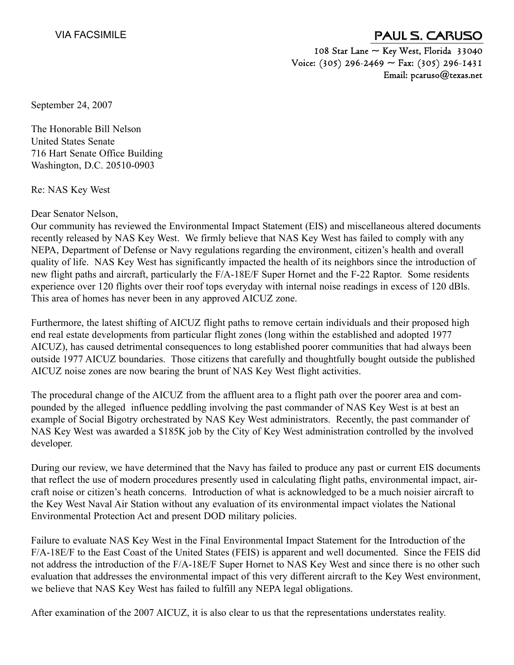## PAUL S. CARUSO

108 Star Lane  $\sim$  Key West, Florida 33040 Voice: (305) 296-2469  $\sim$  Fax: (305) 296-1431 Email: pcaruso@texas.net

September 24, 2007

The Honorable Bill Nelson United States Senate 716 Hart Senate Office Building Washington, D.C. 20510-0903

Re: NAS Key West

Dear Senator Nelson,

Our community has reviewed the Environmental Impact Statement (EIS) and miscellaneous altered documents recently released by NAS Key West. We firmly believe that NAS Key West has failed to comply with any NEPA, Department of Defense or Navy regulations regarding the environment, citizen's health and overall quality of life. NAS Key West has significantly impacted the health of its neighbors since the introduction of new flight paths and aircraft, particularly the F/A-18E/F Super Hornet and the F-22 Raptor. Some residents experience over 120 flights over their roof tops everyday with internal noise readings in excess of 120 dBls. This area of homes has never been in any approved AICUZ zone.

Furthermore, the latest shifting of AICUZ flight paths to remove certain individuals and their proposed high end real estate developments from particular flight zones (long within the established and adopted 1977 AICUZ), has caused detrimental consequences to long established poorer communities that had always been outside 1977 AICUZ boundaries. Those citizens that carefully and thoughtfully bought outside the published AICUZ noise zones are now bearing the brunt of NAS Key West flight activities.

The procedural change of the AICUZ from the affluent area to a flight path over the poorer area and compounded by the alleged influence peddling involving the past commander of NAS Key West is at best an example of Social Bigotry orchestrated by NAS Key West administrators. Recently, the past commander of NAS Key West was awarded a \$185K job by the City of Key West administration controlled by the involved developer.

During our review, we have determined that the Navy has failed to produce any past or current EIS documents that reflect the use of modern procedures presently used in calculating flight paths, environmental impact, aircraft noise or citizen's heath concerns. Introduction of what is acknowledged to be a much noisier aircraft to the Key West Naval Air Station without any evaluation of its environmental impact violates the National Environmental Protection Act and present DOD military policies.

Failure to evaluate NAS Key West in the Final Environmental Impact Statement for the Introduction of the F/A-18E/F to the East Coast of the United States (FEIS) is apparent and well documented. Since the FEIS did not address the introduction of the F/A-18E/F Super Hornet to NAS Key West and since there is no other such evaluation that addresses the environmental impact of this very different aircraft to the Key West environment, we believe that NAS Key West has failed to fulfill any NEPA legal obligations.

After examination of the 2007 AICUZ, it is also clear to us that the representations understates reality.